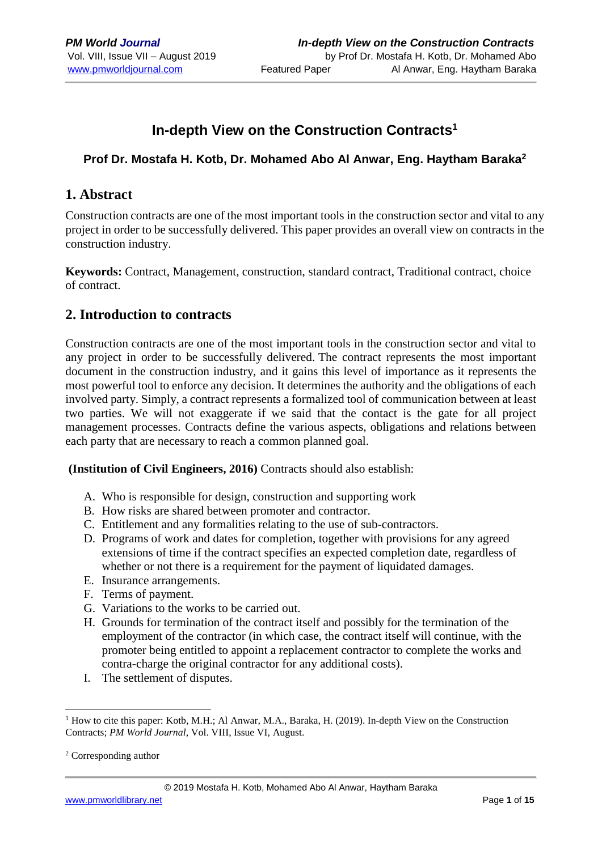# **In-depth View on the Construction Contracts<sup>1</sup>**

# **Prof Dr. Mostafa H. Kotb, Dr. Mohamed Abo Al Anwar, Eng. Haytham Baraka<sup>2</sup>**

# **1. Abstract**

Construction contracts are one of the most important tools in the construction sector and vital to any project in order to be successfully delivered. This paper provides an overall view on contracts in the construction industry.

**Keywords:** Contract, Management, construction, standard contract, Traditional contract, choice of contract.

# **2. Introduction to contracts**

Construction contracts are one of the most important tools in the construction sector and vital to any project in order to be successfully delivered. The contract represents the most important document in the construction industry, and it gains this level of importance as it represents the most powerful tool to enforce any decision. It determines the authority and the obligations of each involved party. Simply, a contract represents a formalized tool of communication between at least two parties. We will not exaggerate if we said that the contact is the gate for all project management processes. Contracts define the various aspects, obligations and relations between each party that are necessary to reach a common planned goal.

**(Institution of Civil Engineers, 2016)** Contracts should also establish:

- A. Who is responsible for design, construction and supporting work
- B. How risks are shared between promoter and contractor.
- C. Entitlement and any formalities relating to the use of sub-contractors.
- D. Programs of work and dates for completion, together with provisions for any agreed extensions of time if the contract specifies an expected completion date, regardless of whether or not there is a requirement for the payment of liquidated damages.
- E. Insurance arrangements.
- F. Terms of payment.
- G. Variations to the works to be carried out.
- H. Grounds for termination of the contract itself and possibly for the termination of the employment of the contractor (in which case, the contract itself will continue, with the promoter being entitled to appoint a replacement contractor to complete the works and contra-charge the original contractor for any additional costs).
- I. The settlement of disputes.

1

<sup>1</sup> How to cite this paper: Kotb, M.H.; Al Anwar, M.A., Baraka, H. (2019). In-depth View on the Construction Contracts; *PM World Journal*, Vol. VIII, Issue VI, August.

<sup>2</sup> Corresponding author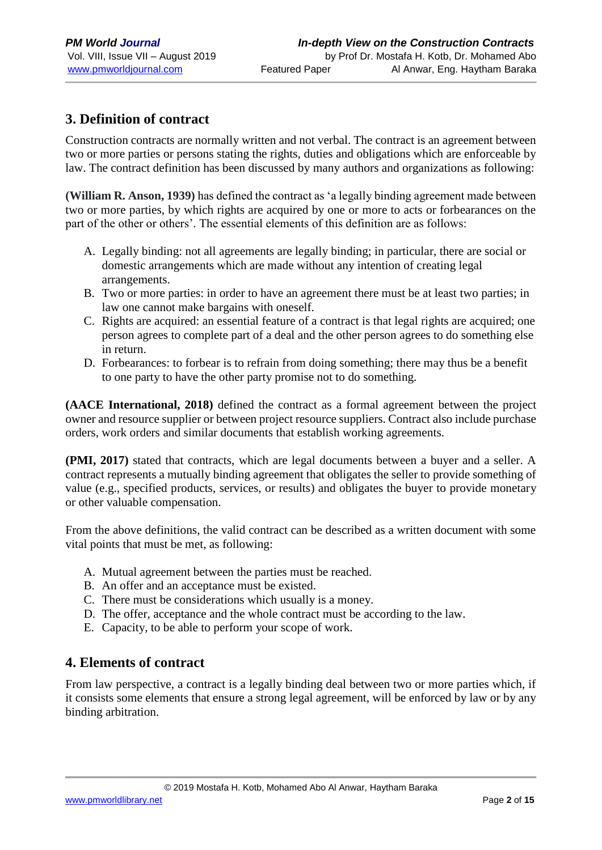# **3. Definition of contract**

Construction contracts are normally written and not verbal. The contract is an agreement between two or more parties or persons stating the rights, duties and obligations which are enforceable by law. The contract definition has been discussed by many authors and organizations as following:

**(William R. Anson, 1939)** has defined the contract as 'a legally binding agreement made between two or more parties, by which rights are acquired by one or more to acts or forbearances on the part of the other or others'. The essential elements of this definition are as follows:

- A. Legally binding: not all agreements are legally binding; in particular, there are social or domestic arrangements which are made without any intention of creating legal arrangements.
- B. Two or more parties: in order to have an agreement there must be at least two parties; in law one cannot make bargains with oneself.
- C. Rights are acquired: an essential feature of a contract is that legal rights are acquired; one person agrees to complete part of a deal and the other person agrees to do something else in return.
- D. Forbearances: to forbear is to refrain from doing something; there may thus be a benefit to one party to have the other party promise not to do something.

**(AACE International, 2018)** defined the contract as a formal agreement between the project owner and resource supplier or between project resource suppliers. Contract also include purchase orders, work orders and similar documents that establish working agreements.

**(PMI, 2017)** stated that contracts, which are legal documents between a buyer and a seller. A contract represents a mutually binding agreement that obligates the seller to provide something of value (e.g., specified products, services, or results) and obligates the buyer to provide monetary or other valuable compensation.

From the above definitions, the valid contract can be described as a written document with some vital points that must be met, as following:

- A. Mutual agreement between the parties must be reached.
- B. An offer and an acceptance must be existed.
- C. There must be considerations which usually is a money.
- D. The offer, acceptance and the whole contract must be according to the law.
- E. Capacity, to be able to perform your scope of work.

# **4. Elements of contract**

From law perspective, a contract is a legally binding deal between two or more parties which, if it consists some elements that ensure a strong legal agreement, will be enforced by law or by any binding arbitration.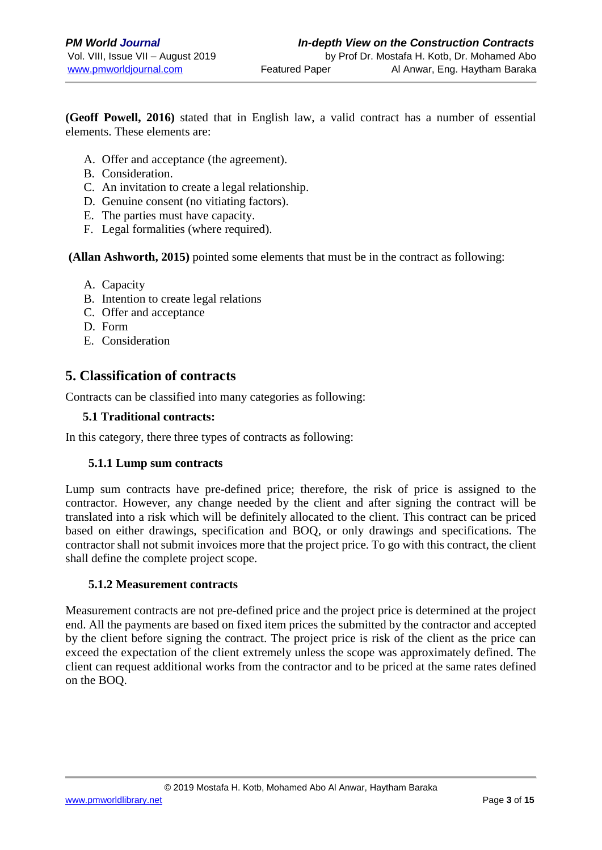**(Geoff Powell, 2016)** stated that in English law, a valid contract has a number of essential elements. These elements are:

- A. Offer and acceptance (the agreement).
- B. Consideration.
- C. An invitation to create a legal relationship.
- D. Genuine consent (no vitiating factors).
- E. The parties must have capacity.
- F. Legal formalities (where required).

**(Allan Ashworth, 2015)** pointed some elements that must be in the contract as following:

- A. Capacity
- B. Intention to create legal relations
- C. Offer and acceptance
- D. Form
- E. Consideration

# **5. Classification of contracts**

Contracts can be classified into many categories as following:

#### **5.1 Traditional contracts:**

In this category, there three types of contracts as following:

#### **5.1.1 Lump sum contracts**

Lump sum contracts have pre-defined price; therefore, the risk of price is assigned to the contractor. However, any change needed by the client and after signing the contract will be translated into a risk which will be definitely allocated to the client. This contract can be priced based on either drawings, specification and BOQ, or only drawings and specifications. The contractor shall not submit invoices more that the project price. To go with this contract, the client shall define the complete project scope.

#### **5.1.2 Measurement contracts**

Measurement contracts are not pre-defined price and the project price is determined at the project end. All the payments are based on fixed item prices the submitted by the contractor and accepted by the client before signing the contract. The project price is risk of the client as the price can exceed the expectation of the client extremely unless the scope was approximately defined. The client can request additional works from the contractor and to be priced at the same rates defined on the BOQ.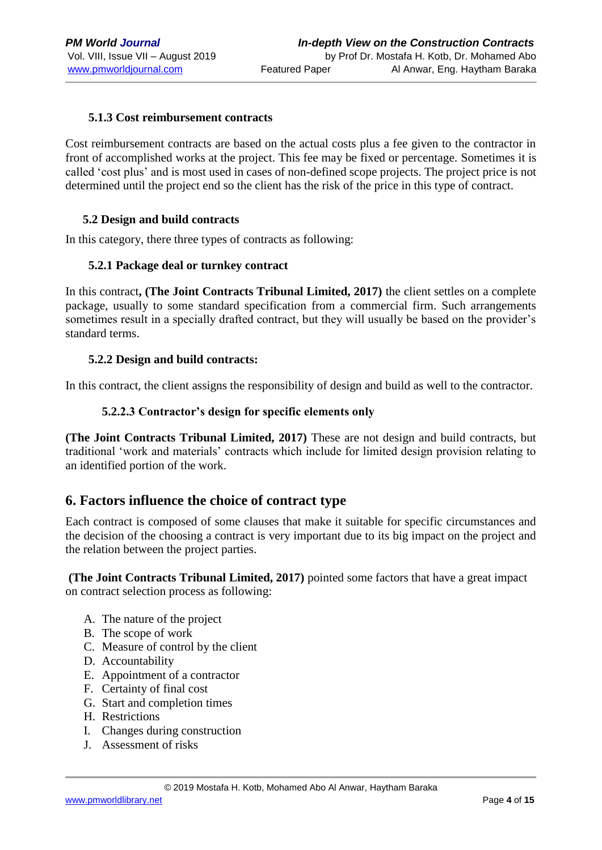#### **5.1.3 Cost reimbursement contracts**

Cost reimbursement contracts are based on the actual costs plus a fee given to the contractor in front of accomplished works at the project. This fee may be fixed or percentage. Sometimes it is called 'cost plus' and is most used in cases of non-defined scope projects. The project price is not determined until the project end so the client has the risk of the price in this type of contract.

#### **5.2 Design and build contracts**

In this category, there three types of contracts as following:

#### **5.2.1 Package deal or turnkey contract**

In this contract**, (The Joint Contracts Tribunal Limited, 2017)** the client settles on a complete package, usually to some standard specification from a commercial firm. Such arrangements sometimes result in a specially drafted contract, but they will usually be based on the provider's standard terms.

#### **5.2.2 Design and build contracts:**

In this contract, the client assigns the responsibility of design and build as well to the contractor.

#### **5.2.2.3 Contractor's design for specific elements only**

**(The Joint Contracts Tribunal Limited, 2017)** These are not design and build contracts, but traditional 'work and materials' contracts which include for limited design provision relating to an identified portion of the work.

## **6. Factors influence the choice of contract type**

Each contract is composed of some clauses that make it suitable for specific circumstances and the decision of the choosing a contract is very important due to its big impact on the project and the relation between the project parties.

**(The Joint Contracts Tribunal Limited, 2017)** pointed some factors that have a great impact on contract selection process as following:

- A. The nature of the project
- B. The scope of work
- C. Measure of control by the client
- D. Accountability
- E. Appointment of a contractor
- F. Certainty of final cost
- G. Start and completion times
- H. Restrictions
- I. Changes during construction
- J. Assessment of risks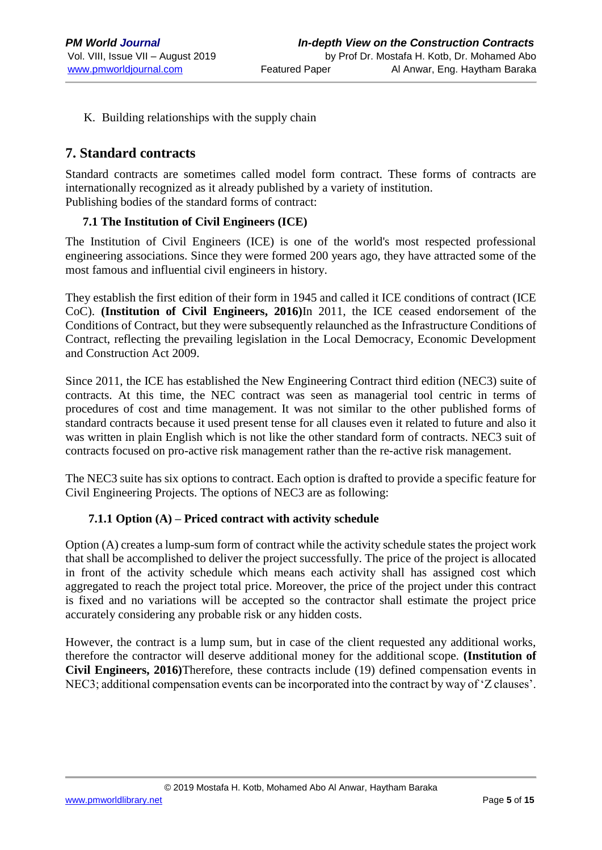K. Building relationships with the supply chain

# **7. Standard contracts**

Standard contracts are sometimes called model form contract. These forms of contracts are internationally recognized as it already published by a variety of institution. Publishing bodies of the standard forms of contract:

## **7.1 The Institution of Civil Engineers (ICE)**

The Institution of Civil Engineers (ICE) is one of the world's most respected professional engineering associations. Since they were formed 200 years ago, they have attracted some of the most famous and influential civil engineers in history.

They establish the first edition of their form in 1945 and called it ICE conditions of contract (ICE CoC). **(Institution of Civil Engineers, 2016)**In 2011, the ICE ceased endorsement of the Conditions of Contract, but they were subsequently relaunched as the Infrastructure Conditions of Contract, reflecting the prevailing legislation in the Local Democracy, Economic Development and Construction Act 2009.

Since 2011, the ICE has established the New Engineering Contract third edition (NEC3) suite of contracts. At this time, the NEC contract was seen as managerial tool centric in terms of procedures of cost and time management. It was not similar to the other published forms of standard contracts because it used present tense for all clauses even it related to future and also it was written in plain English which is not like the other standard form of contracts. NEC3 suit of contracts focused on pro-active risk management rather than the re-active risk management.

The NEC3 suite has six options to contract. Each option is drafted to provide a specific feature for Civil Engineering Projects. The options of NEC3 are as following:

## **7.1.1 Option (A) – Priced contract with activity schedule**

Option (A) creates a lump-sum form of contract while the activity schedule states the project work that shall be accomplished to deliver the project successfully. The price of the project is allocated in front of the activity schedule which means each activity shall has assigned cost which aggregated to reach the project total price. Moreover, the price of the project under this contract is fixed and no variations will be accepted so the contractor shall estimate the project price accurately considering any probable risk or any hidden costs.

However, the contract is a lump sum, but in case of the client requested any additional works, therefore the contractor will deserve additional money for the additional scope. **(Institution of Civil Engineers, 2016)**Therefore, these contracts include (19) defined compensation events in NEC3; additional compensation events can be incorporated into the contract by way of 'Z clauses'.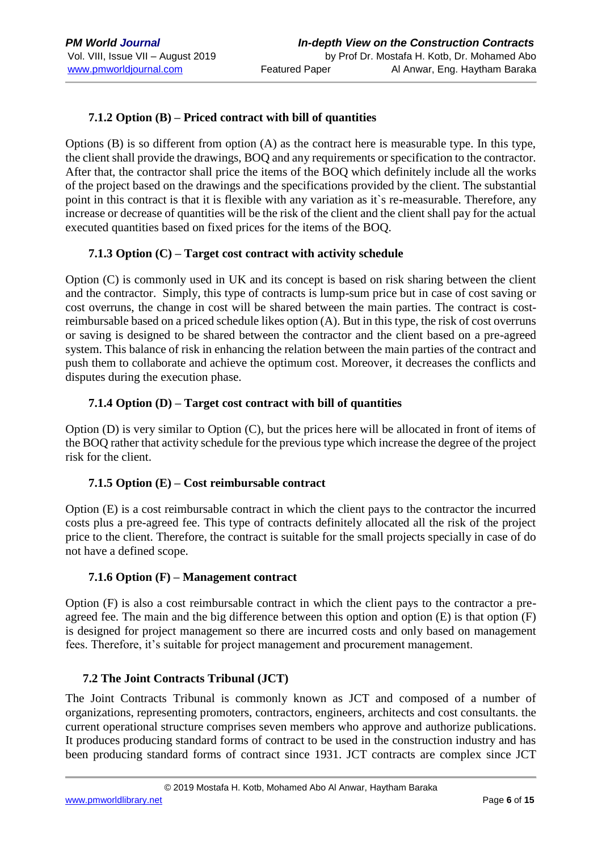# **7.1.2 Option (B) – Priced contract with bill of quantities**

Options (B) is so different from option (A) as the contract here is measurable type. In this type, the client shall provide the drawings, BOQ and any requirements or specification to the contractor. After that, the contractor shall price the items of the BOQ which definitely include all the works of the project based on the drawings and the specifications provided by the client. The substantial point in this contract is that it is flexible with any variation as it`s re-measurable. Therefore, any increase or decrease of quantities will be the risk of the client and the client shall pay for the actual executed quantities based on fixed prices for the items of the BOQ.

## **7.1.3 Option (C) – Target cost contract with activity schedule**

Option (C) is commonly used in UK and its concept is based on risk sharing between the client and the contractor. Simply, this type of contracts is lump-sum price but in case of cost saving or cost overruns, the change in cost will be shared between the main parties. The contract is costreimbursable based on a priced schedule likes option (A). But in this type, the risk of cost overruns or saving is designed to be shared between the contractor and the client based on a pre-agreed system. This balance of risk in enhancing the relation between the main parties of the contract and push them to collaborate and achieve the optimum cost. Moreover, it decreases the conflicts and disputes during the execution phase.

## **7.1.4 Option (D) – Target cost contract with bill of quantities**

Option (D) is very similar to Option (C), but the prices here will be allocated in front of items of the BOQ rather that activity schedule for the previous type which increase the degree of the project risk for the client.

## **7.1.5 Option (E) – Cost reimbursable contract**

Option (E) is a cost reimbursable contract in which the client pays to the contractor the incurred costs plus a pre-agreed fee. This type of contracts definitely allocated all the risk of the project price to the client. Therefore, the contract is suitable for the small projects specially in case of do not have a defined scope.

#### **7.1.6 Option (F) – Management contract**

Option (F) is also a cost reimbursable contract in which the client pays to the contractor a preagreed fee. The main and the big difference between this option and option (E) is that option (F) is designed for project management so there are incurred costs and only based on management fees. Therefore, it's suitable for project management and procurement management.

## **7.2 The Joint Contracts Tribunal (JCT)**

The Joint Contracts Tribunal is commonly known as JCT and composed of a number of organizations, representing promoters, contractors, engineers, architects and cost consultants. the current operational structure comprises seven members who approve and authorize publications. It produces producing standard forms of contract to be used in the construction industry and has been producing standard forms of contract since 1931. JCT contracts are complex since JCT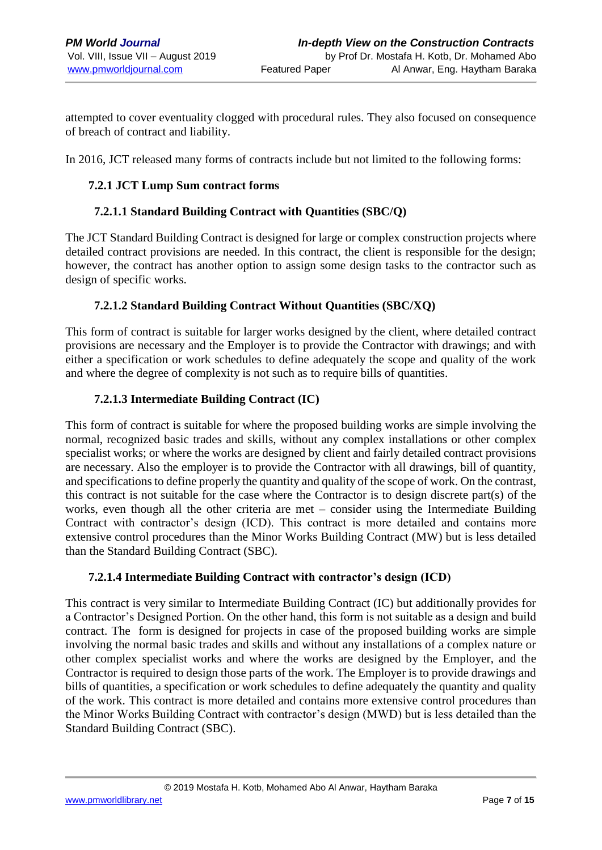attempted to cover eventuality clogged with procedural rules. They also focused on consequence of breach of contract and liability.

In 2016, JCT released many forms of contracts include but not limited to the following forms:

## **7.2.1 JCT Lump Sum contract forms**

#### **7.2.1.1 Standard Building Contract with Quantities (SBC/Q)**

The JCT Standard Building Contract is designed for large or complex construction projects where detailed contract provisions are needed. In this contract, the client is responsible for the design; however, the contract has another option to assign some design tasks to the contractor such as design of specific works.

#### **7.2.1.2 Standard Building Contract Without Quantities (SBC/XQ)**

This form of contract is suitable for larger works designed by the client, where detailed contract provisions are necessary and the Employer is to provide the Contractor with drawings; and with either a specification or work schedules to define adequately the scope and quality of the work and where the degree of complexity is not such as to require bills of quantities.

## **7.2.1.3 Intermediate Building Contract (IC)**

This form of contract is suitable for where the proposed building works are simple involving the normal, recognized basic trades and skills, without any complex installations or other complex specialist works; or where the works are designed by client and fairly detailed contract provisions are necessary. Also the employer is to provide the Contractor with all drawings, bill of quantity, and specifications to define properly the quantity and quality of the scope of work. On the contrast, this contract is not suitable for the case where the Contractor is to design discrete part(s) of the works, even though all the other criteria are met – consider using the Intermediate Building Contract with contractor's design (ICD). This contract is more detailed and contains more extensive control procedures than the Minor Works Building Contract (MW) but is less detailed than the Standard Building Contract (SBC).

## **7.2.1.4 Intermediate Building Contract with contractor's design (ICD)**

This contract is very similar to Intermediate Building Contract (IC) but additionally provides for a Contractor's Designed Portion. On the other hand, this form is not suitable as a design and build contract. The form is designed for projects in case of the proposed building works are simple involving the normal basic trades and skills and without any installations of a complex nature or other complex specialist works and where the works are designed by the Employer, and the Contractor is required to design those parts of the work. The Employer is to provide drawings and bills of quantities, a specification or work schedules to define adequately the quantity and quality of the work. This contract is more detailed and contains more extensive control procedures than the Minor Works Building Contract with contractor's design (MWD) but is less detailed than the Standard Building Contract (SBC).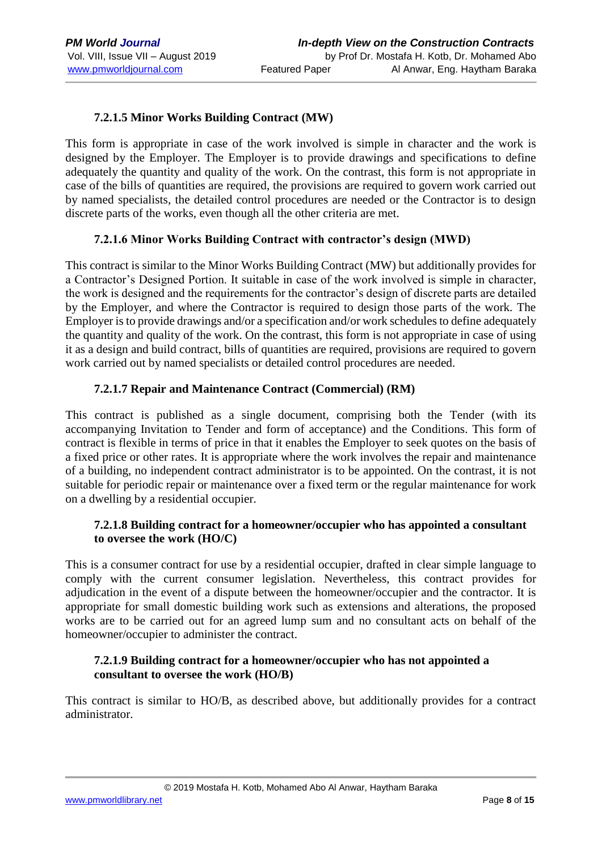# **7.2.1.5 Minor Works Building Contract (MW)**

This form is appropriate in case of the work involved is simple in character and the work is designed by the Employer. The Employer is to provide drawings and specifications to define adequately the quantity and quality of the work. On the contrast, this form is not appropriate in case of the bills of quantities are required, the provisions are required to govern work carried out by named specialists, the detailed control procedures are needed or the Contractor is to design discrete parts of the works, even though all the other criteria are met.

## **7.2.1.6 Minor Works Building Contract with contractor's design (MWD)**

This contract is similar to the Minor Works Building Contract (MW) but additionally provides for a Contractor's Designed Portion. It suitable in case of the work involved is simple in character, the work is designed and the requirements for the contractor's design of discrete parts are detailed by the Employer, and where the Contractor is required to design those parts of the work. The Employer is to provide drawings and/or a specification and/or work schedules to define adequately the quantity and quality of the work. On the contrast, this form is not appropriate in case of using it as a design and build contract, bills of quantities are required, provisions are required to govern work carried out by named specialists or detailed control procedures are needed.

#### **7.2.1.7 Repair and Maintenance Contract (Commercial) (RM)**

This contract is published as a single document, comprising both the Tender (with its accompanying Invitation to Tender and form of acceptance) and the Conditions. This form of contract is flexible in terms of price in that it enables the Employer to seek quotes on the basis of a fixed price or other rates. It is appropriate where the work involves the repair and maintenance of a building, no independent contract administrator is to be appointed. On the contrast, it is not suitable for periodic repair or maintenance over a fixed term or the regular maintenance for work on a dwelling by a residential occupier.

#### **7.2.1.8 Building contract for a homeowner/occupier who has appointed a consultant to oversee the work (HO/C)**

This is a consumer contract for use by a residential occupier, drafted in clear simple language to comply with the current consumer legislation. Nevertheless, this contract provides for adjudication in the event of a dispute between the homeowner/occupier and the contractor. It is appropriate for small domestic building work such as extensions and alterations, the proposed works are to be carried out for an agreed lump sum and no consultant acts on behalf of the homeowner/occupier to administer the contract.

#### **7.2.1.9 Building contract for a homeowner/occupier who has not appointed a consultant to oversee the work (HO/B)**

This contract is similar to HO/B, as described above, but additionally provides for a contract administrator.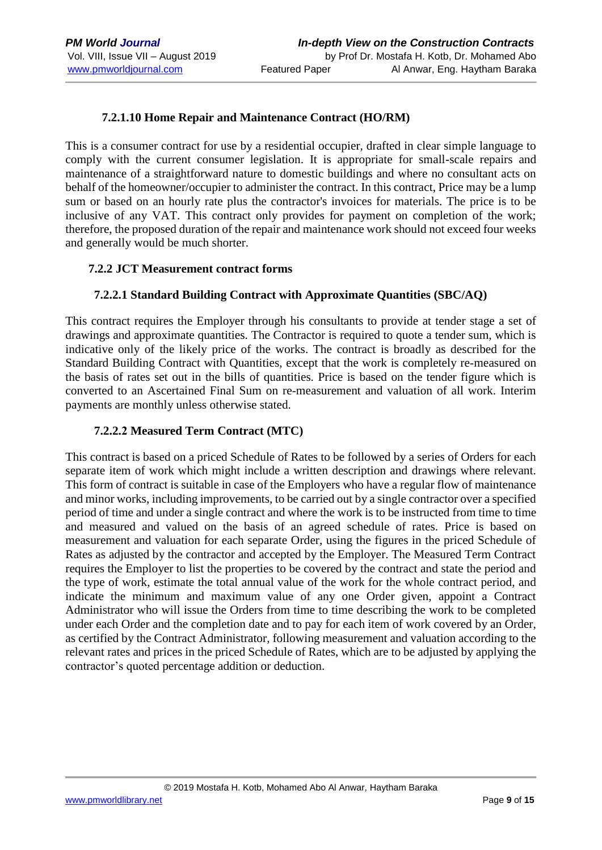## **7.2.1.10 Home Repair and Maintenance Contract (HO/RM)**

This is a consumer contract for use by a residential occupier, drafted in clear simple language to comply with the current consumer legislation. It is appropriate for small-scale repairs and maintenance of a straightforward nature to domestic buildings and where no consultant acts on behalf of the homeowner/occupier to administer the contract. In this contract, Price may be a lump sum or based on an hourly rate plus the contractor's invoices for materials. The price is to be inclusive of any VAT. This contract only provides for payment on completion of the work; therefore, the proposed duration of the repair and maintenance work should not exceed four weeks and generally would be much shorter.

#### **7.2.2 JCT Measurement contract forms**

#### **7.2.2.1 Standard Building Contract with Approximate Quantities (SBC/AQ)**

This contract requires the Employer through his consultants to provide at tender stage a set of drawings and approximate quantities. The Contractor is required to quote a tender sum, which is indicative only of the likely price of the works. The contract is broadly as described for the Standard Building Contract with Quantities, except that the work is completely re-measured on the basis of rates set out in the bills of quantities. Price is based on the tender figure which is converted to an Ascertained Final Sum on re-measurement and valuation of all work. Interim payments are monthly unless otherwise stated.

#### **7.2.2.2 Measured Term Contract (MTC)**

This contract is based on a priced Schedule of Rates to be followed by a series of Orders for each separate item of work which might include a written description and drawings where relevant. This form of contract is suitable in case of the Employers who have a regular flow of maintenance and minor works, including improvements, to be carried out by a single contractor over a specified period of time and under a single contract and where the work is to be instructed from time to time and measured and valued on the basis of an agreed schedule of rates. Price is based on measurement and valuation for each separate Order, using the figures in the priced Schedule of Rates as adjusted by the contractor and accepted by the Employer. The Measured Term Contract requires the Employer to list the properties to be covered by the contract and state the period and the type of work, estimate the total annual value of the work for the whole contract period, and indicate the minimum and maximum value of any one Order given, appoint a Contract Administrator who will issue the Orders from time to time describing the work to be completed under each Order and the completion date and to pay for each item of work covered by an Order, as certified by the Contract Administrator, following measurement and valuation according to the relevant rates and prices in the priced Schedule of Rates, which are to be adjusted by applying the contractor's quoted percentage addition or deduction.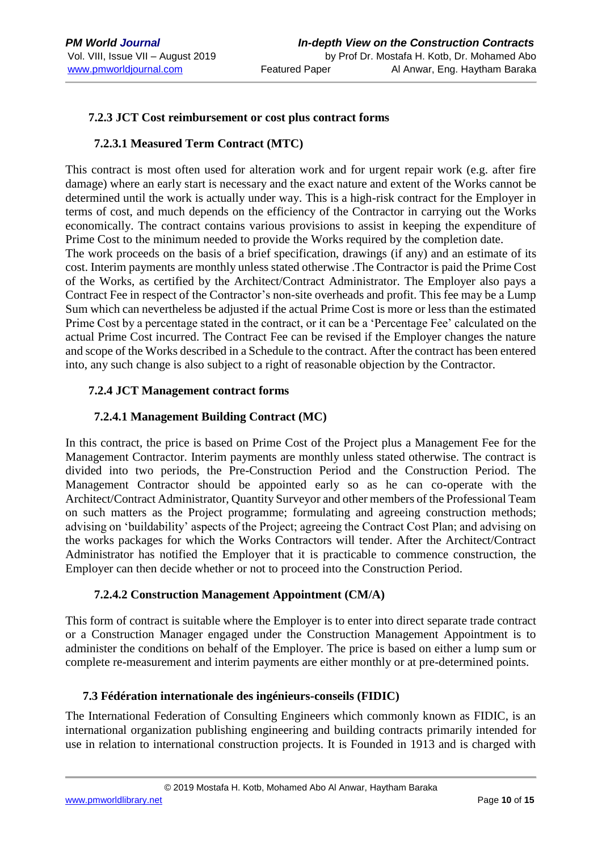#### **7.2.3 JCT Cost reimbursement or cost plus contract forms**

#### **7.2.3.1 Measured Term Contract (MTC)**

This contract is most often used for alteration work and for urgent repair work (e.g. after fire damage) where an early start is necessary and the exact nature and extent of the Works cannot be determined until the work is actually under way. This is a high-risk contract for the Employer in terms of cost, and much depends on the efficiency of the Contractor in carrying out the Works economically. The contract contains various provisions to assist in keeping the expenditure of Prime Cost to the minimum needed to provide the Works required by the completion date.

The work proceeds on the basis of a brief specification, drawings (if any) and an estimate of its cost. Interim payments are monthly unless stated otherwise .The Contractor is paid the Prime Cost of the Works, as certified by the Architect/Contract Administrator. The Employer also pays a Contract Fee in respect of the Contractor's non-site overheads and profit. This fee may be a Lump Sum which can nevertheless be adjusted if the actual Prime Cost is more or less than the estimated Prime Cost by a percentage stated in the contract, or it can be a 'Percentage Fee' calculated on the actual Prime Cost incurred. The Contract Fee can be revised if the Employer changes the nature and scope of the Works described in a Schedule to the contract. After the contract has been entered into, any such change is also subject to a right of reasonable objection by the Contractor.

#### **7.2.4 JCT Management contract forms**

#### **7.2.4.1 Management Building Contract (MC)**

In this contract, the price is based on Prime Cost of the Project plus a Management Fee for the Management Contractor. Interim payments are monthly unless stated otherwise. The contract is divided into two periods, the Pre-Construction Period and the Construction Period. The Management Contractor should be appointed early so as he can co-operate with the Architect/Contract Administrator, Quantity Surveyor and other members of the Professional Team on such matters as the Project programme; formulating and agreeing construction methods; advising on 'buildability' aspects of the Project; agreeing the Contract Cost Plan; and advising on the works packages for which the Works Contractors will tender. After the Architect/Contract Administrator has notified the Employer that it is practicable to commence construction, the Employer can then decide whether or not to proceed into the Construction Period.

## **7.2.4.2 Construction Management Appointment (CM/A)**

This form of contract is suitable where the Employer is to enter into direct separate trade contract or a Construction Manager engaged under the Construction Management Appointment is to administer the conditions on behalf of the Employer. The price is based on either a lump sum or complete re-measurement and interim payments are either monthly or at pre-determined points.

## **7.3 Fédération internationale des ingénieurs-conseils (FIDIC)**

The International Federation of Consulting Engineers which commonly known as FIDIC, is an international organization publishing engineering and building contracts primarily intended for use in relation to international construction projects. It is Founded in 1913 and is charged with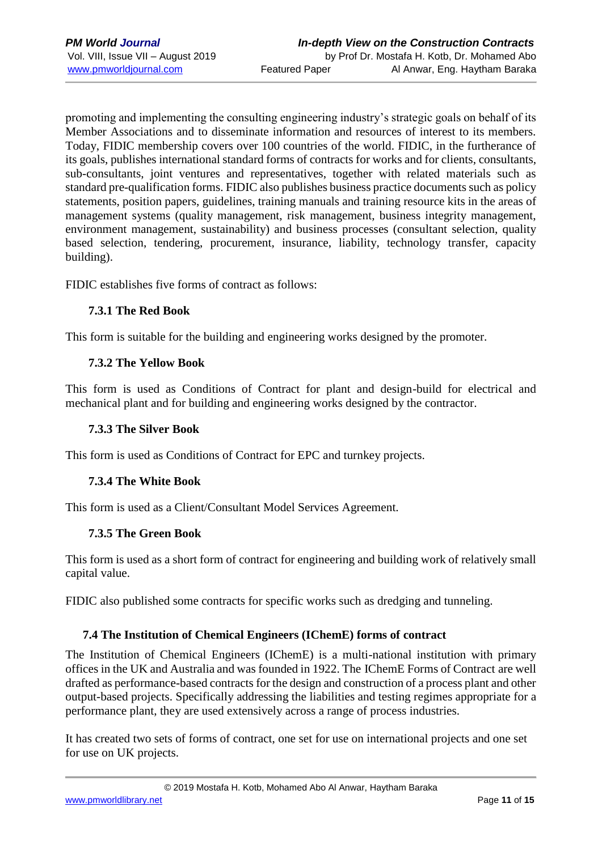promoting and implementing the consulting engineering industry's strategic goals on behalf of its Member Associations and to disseminate information and resources of interest to its members. Today, FIDIC membership covers over 100 countries of the world. FIDIC, in the furtherance of its goals, publishes international standard forms of contracts for works and for clients, consultants, sub-consultants, joint ventures and representatives, together with related materials such as standard pre-qualification forms. FIDIC also publishes business practice documents such as policy statements, position papers, guidelines, training manuals and training resource kits in the areas of management systems (quality management, risk management, business integrity management, environment management, sustainability) and business processes (consultant selection, quality based selection, tendering, procurement, insurance, liability, technology transfer, capacity building).

FIDIC establishes five forms of contract as follows:

#### **7.3.1 The Red Book**

This form is suitable for the building and engineering works designed by the promoter.

#### **7.3.2 The Yellow Book**

This form is used as Conditions of Contract for plant and design-build for electrical and mechanical plant and for building and engineering works designed by the contractor.

#### **7.3.3 The Silver Book**

This form is used as Conditions of Contract for EPC and turnkey projects.

## **7.3.4 The White Book**

This form is used as a Client/Consultant Model Services Agreement.

#### **7.3.5 The Green Book**

This form is used as a short form of contract for engineering and building work of relatively small capital value.

FIDIC also published some contracts for specific works such as dredging and tunneling.

## **7.4 The Institution of Chemical Engineers (IChemE) forms of contract**

The Institution of Chemical Engineers (IChemE) is a multi-national institution with primary offices in the UK and Australia and was founded in 1922. The IChemE Forms of Contract are well drafted as performance-based contracts for the design and construction of a process plant and other output-based projects. Specifically addressing the liabilities and testing regimes appropriate for a performance plant, they are used extensively across a range of process industries.

It has created two sets of forms of contract, one set for use on international projects and one set for use on UK projects.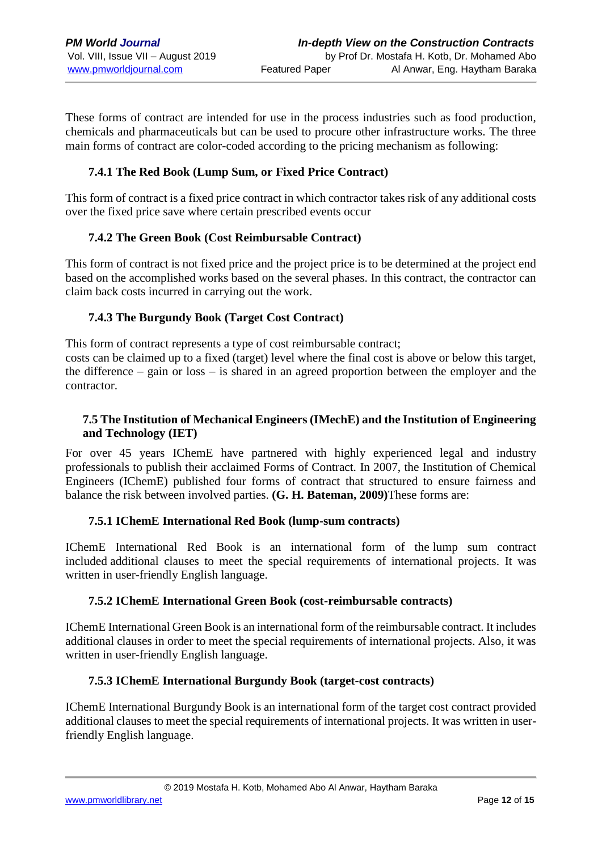These forms of contract are intended for use in the process industries such as food production, chemicals and pharmaceuticals but can be used to procure other infrastructure works. The three main forms of contract are color-coded according to the pricing mechanism as following:

# **7.4.1 The Red Book (Lump Sum, or Fixed Price Contract)**

This form of contract is a fixed price contract in which contractor takes risk of any additional costs over the fixed price save where certain prescribed events occur

#### **7.4.2 The Green Book (Cost Reimbursable Contract)**

This form of contract is not fixed price and the project price is to be determined at the project end based on the accomplished works based on the several phases. In this contract, the contractor can claim back costs incurred in carrying out the work.

#### **7.4.3 The Burgundy Book (Target Cost Contract)**

This form of contract represents a type of cost reimbursable contract; costs can be claimed up to a fixed (target) level where the final cost is above or below this target, the difference – gain or loss – is shared in an agreed proportion between the employer and the contractor.

## **7.5 The Institution of Mechanical Engineers (IMechE) and the Institution of Engineering and Technology (IET)**

For over 45 years IChemE have partnered with highly experienced legal and industry professionals to publish their acclaimed Forms of Contract. In 2007, the Institution of Chemical Engineers (IChemE) published four forms of contract that structured to ensure fairness and balance the risk between involved parties. **(G. H. Bateman, 2009)**These forms are:

#### **7.5.1 IChemE International Red Book (lump-sum contracts)**

IChemE International Red Book is an international form of the lump sum contract included additional clauses to meet the special requirements of international projects. It was written in user-friendly English language.

#### **7.5.2 IChemE International Green Book (cost-reimbursable contracts)**

IChemE International Green Book is an international form of the reimbursable contract. It includes additional clauses in order to meet the special requirements of international projects. Also, it was written in user-friendly English language.

#### **7.5.3 IChemE International Burgundy Book (target-cost contracts)**

IChemE International Burgundy Book is an international form of the target cost contract provided additional clauses to meet the special requirements of international projects. It was written in userfriendly English language.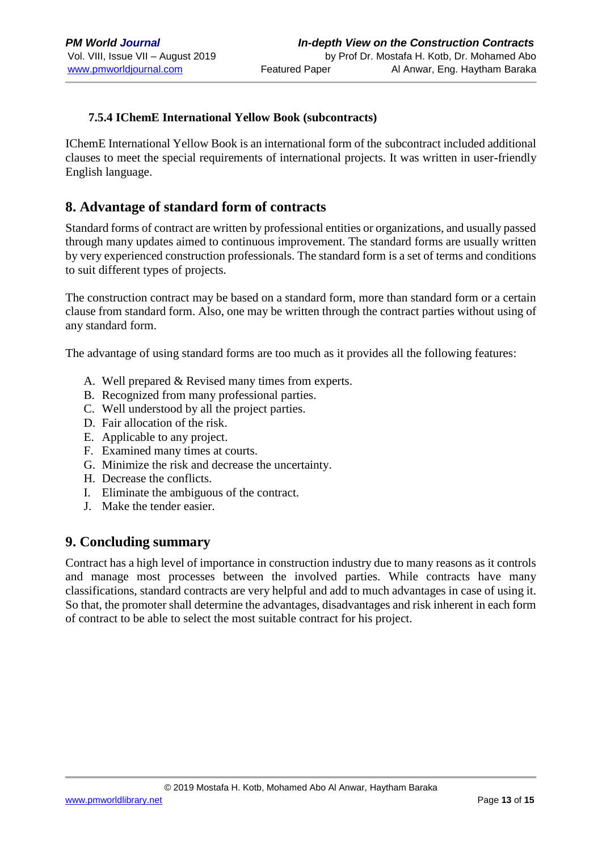## **7.5.4 IChemE International Yellow Book (subcontracts)**

IChemE International Yellow Book is an international form of the subcontract included additional clauses to meet the special requirements of international projects. It was written in user-friendly English language.

# **8. Advantage of standard form of contracts**

Standard forms of contract are written by professional entities or organizations, and usually passed through many updates aimed to continuous improvement. The standard forms are usually written by very experienced construction professionals. The standard form is a set of terms and conditions to suit different types of projects.

The construction contract may be based on a standard form, more than standard form or a certain clause from standard form. Also, one may be written through the contract parties without using of any standard form.

The advantage of using standard forms are too much as it provides all the following features:

- A. Well prepared & Revised many times from experts.
- B. Recognized from many professional parties.
- C. Well understood by all the project parties.
- D. Fair allocation of the risk.
- E. Applicable to any project.
- F. Examined many times at courts.
- G. Minimize the risk and decrease the uncertainty.
- H. Decrease the conflicts.
- I. Eliminate the ambiguous of the contract.
- J. Make the tender easier.

# **9. Concluding summary**

Contract has a high level of importance in construction industry due to many reasons as it controls and manage most processes between the involved parties. While contracts have many classifications, standard contracts are very helpful and add to much advantages in case of using it. So that, the promoter shall determine the advantages, disadvantages and risk inherent in each form of contract to be able to select the most suitable contract for his project.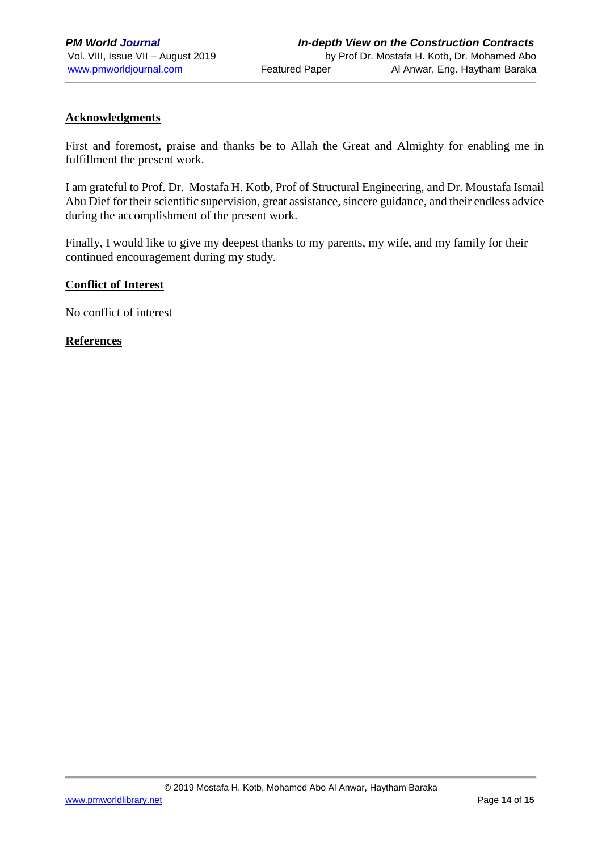#### **Acknowledgments**

First and foremost, praise and thanks be to Allah the Great and Almighty for enabling me in fulfillment the present work.

I am grateful to Prof. Dr. Mostafa H. Kotb, Prof of Structural Engineering, and Dr. Moustafa Ismail Abu Dief for their scientific supervision, great assistance, sincere guidance, and their endless advice during the accomplishment of the present work.

Finally, I would like to give my deepest thanks to my parents, my wife, and my family for their continued encouragement during my study.

#### **Conflict of Interest**

No conflict of interest

#### **References**